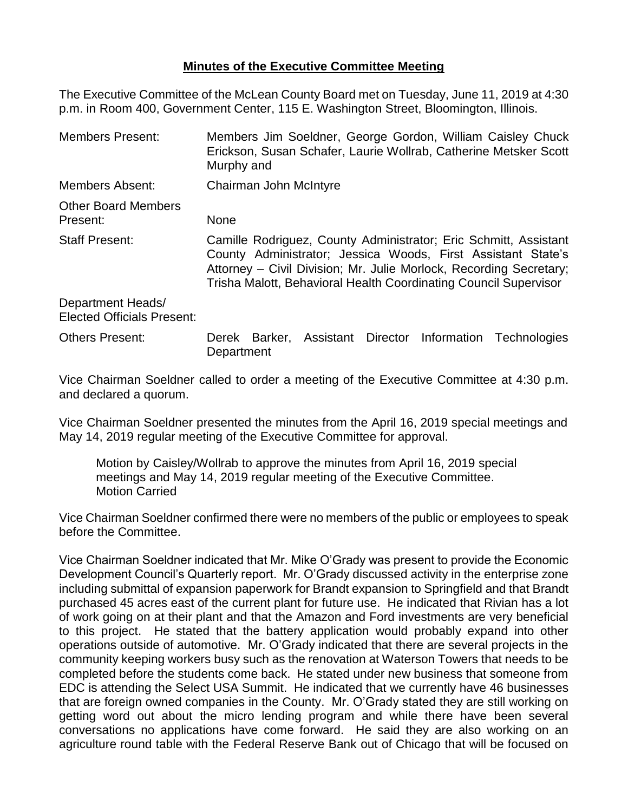## **Minutes of the Executive Committee Meeting**

The Executive Committee of the McLean County Board met on Tuesday, June 11, 2019 at 4:30 p.m. in Room 400, Government Center, 115 E. Washington Street, Bloomington, Illinois.

| <b>Members Present:</b>                                | Members Jim Soeldner, George Gordon, William Caisley Chuck<br>Erickson, Susan Schafer, Laurie Wollrab, Catherine Metsker Scott<br>Murphy and                                                                                                                               |  |  |  |  |
|--------------------------------------------------------|----------------------------------------------------------------------------------------------------------------------------------------------------------------------------------------------------------------------------------------------------------------------------|--|--|--|--|
| Members Absent:                                        | Chairman John McIntyre                                                                                                                                                                                                                                                     |  |  |  |  |
| <b>Other Board Members</b><br>Present:                 | <b>None</b>                                                                                                                                                                                                                                                                |  |  |  |  |
| <b>Staff Present:</b>                                  | Camille Rodriguez, County Administrator; Eric Schmitt, Assistant<br>County Administrator; Jessica Woods, First Assistant State's<br>Attorney – Civil Division; Mr. Julie Morlock, Recording Secretary;<br>Trisha Malott, Behavioral Health Coordinating Council Supervisor |  |  |  |  |
| Department Heads/<br><b>Elected Officials Present:</b> |                                                                                                                                                                                                                                                                            |  |  |  |  |
| <b>Others Present:</b>                                 | Assistant Director Information<br>Barker.<br>Technologies<br>Derek<br>Department                                                                                                                                                                                           |  |  |  |  |

Vice Chairman Soeldner called to order a meeting of the Executive Committee at 4:30 p.m. and declared a quorum.

Vice Chairman Soeldner presented the minutes from the April 16, 2019 special meetings and May 14, 2019 regular meeting of the Executive Committee for approval.

Motion by Caisley/Wollrab to approve the minutes from April 16, 2019 special meetings and May 14, 2019 regular meeting of the Executive Committee. Motion Carried

Vice Chairman Soeldner confirmed there were no members of the public or employees to speak before the Committee.

Vice Chairman Soeldner indicated that Mr. Mike O'Grady was present to provide the Economic Development Council's Quarterly report. Mr. O'Grady discussed activity in the enterprise zone including submittal of expansion paperwork for Brandt expansion to Springfield and that Brandt purchased 45 acres east of the current plant for future use. He indicated that Rivian has a lot of work going on at their plant and that the Amazon and Ford investments are very beneficial to this project. He stated that the battery application would probably expand into other operations outside of automotive. Mr. O'Grady indicated that there are several projects in the community keeping workers busy such as the renovation at Waterson Towers that needs to be completed before the students come back. He stated under new business that someone from EDC is attending the Select USA Summit. He indicated that we currently have 46 businesses that are foreign owned companies in the County. Mr. O'Grady stated they are still working on getting word out about the micro lending program and while there have been several conversations no applications have come forward. He said they are also working on an agriculture round table with the Federal Reserve Bank out of Chicago that will be focused on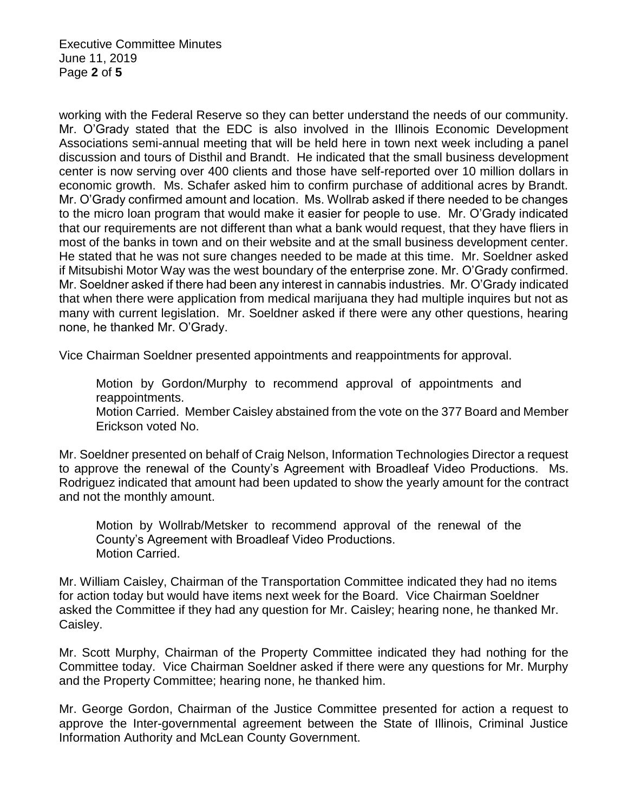Executive Committee Minutes June 11, 2019 Page **2** of **5**

working with the Federal Reserve so they can better understand the needs of our community. Mr. O'Grady stated that the EDC is also involved in the Illinois Economic Development Associations semi-annual meeting that will be held here in town next week including a panel discussion and tours of Disthil and Brandt. He indicated that the small business development center is now serving over 400 clients and those have self-reported over 10 million dollars in economic growth. Ms. Schafer asked him to confirm purchase of additional acres by Brandt. Mr. O'Grady confirmed amount and location. Ms. Wollrab asked if there needed to be changes to the micro loan program that would make it easier for people to use. Mr. O'Grady indicated that our requirements are not different than what a bank would request, that they have fliers in most of the banks in town and on their website and at the small business development center. He stated that he was not sure changes needed to be made at this time. Mr. Soeldner asked if Mitsubishi Motor Way was the west boundary of the enterprise zone. Mr. O'Grady confirmed. Mr. Soeldner asked if there had been any interest in cannabis industries. Mr. O'Grady indicated that when there were application from medical marijuana they had multiple inquires but not as many with current legislation. Mr. Soeldner asked if there were any other questions, hearing none, he thanked Mr. O'Grady.

Vice Chairman Soeldner presented appointments and reappointments for approval.

Motion by Gordon/Murphy to recommend approval of appointments and reappointments.

Motion Carried. Member Caisley abstained from the vote on the 377 Board and Member Erickson voted No.

Mr. Soeldner presented on behalf of Craig Nelson, Information Technologies Director a request to approve the renewal of the County's Agreement with Broadleaf Video Productions. Ms. Rodriguez indicated that amount had been updated to show the yearly amount for the contract and not the monthly amount.

Motion by Wollrab/Metsker to recommend approval of the renewal of the County's Agreement with Broadleaf Video Productions. Motion Carried.

Mr. William Caisley, Chairman of the Transportation Committee indicated they had no items for action today but would have items next week for the Board. Vice Chairman Soeldner asked the Committee if they had any question for Mr. Caisley; hearing none, he thanked Mr. Caisley.

Mr. Scott Murphy, Chairman of the Property Committee indicated they had nothing for the Committee today. Vice Chairman Soeldner asked if there were any questions for Mr. Murphy and the Property Committee; hearing none, he thanked him.

Mr. George Gordon, Chairman of the Justice Committee presented for action a request to approve the Inter-governmental agreement between the State of Illinois, Criminal Justice Information Authority and McLean County Government.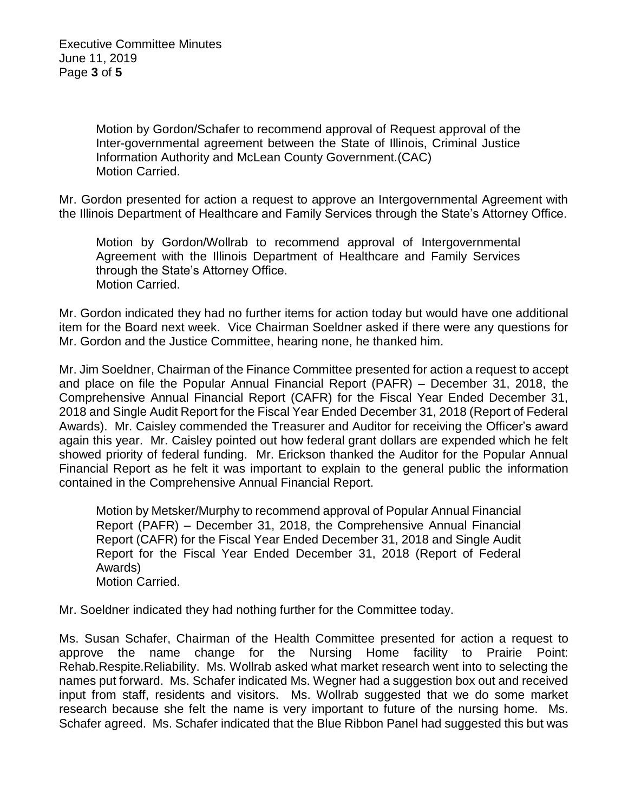Motion by Gordon/Schafer to recommend approval of Request approval of the Inter-governmental agreement between the State of Illinois, Criminal Justice Information Authority and McLean County Government.(CAC) Motion Carried.

Mr. Gordon presented for action a request to approve an Intergovernmental Agreement with the Illinois Department of Healthcare and Family Services through the State's Attorney Office.

Motion by Gordon/Wollrab to recommend approval of Intergovernmental Agreement with the Illinois Department of Healthcare and Family Services through the State's Attorney Office. Motion Carried.

Mr. Gordon indicated they had no further items for action today but would have one additional item for the Board next week. Vice Chairman Soeldner asked if there were any questions for Mr. Gordon and the Justice Committee, hearing none, he thanked him.

Mr. Jim Soeldner, Chairman of the Finance Committee presented for action a request to accept and place on file the Popular Annual Financial Report (PAFR) – December 31, 2018, the Comprehensive Annual Financial Report (CAFR) for the Fiscal Year Ended December 31, 2018 and Single Audit Report for the Fiscal Year Ended December 31, 2018 (Report of Federal Awards). Mr. Caisley commended the Treasurer and Auditor for receiving the Officer's award again this year. Mr. Caisley pointed out how federal grant dollars are expended which he felt showed priority of federal funding. Mr. Erickson thanked the Auditor for the Popular Annual Financial Report as he felt it was important to explain to the general public the information contained in the Comprehensive Annual Financial Report.

Motion by Metsker/Murphy to recommend approval of Popular Annual Financial Report (PAFR) – December 31, 2018, the Comprehensive Annual Financial Report (CAFR) for the Fiscal Year Ended December 31, 2018 and Single Audit Report for the Fiscal Year Ended December 31, 2018 (Report of Federal Awards) Motion Carried.

Mr. Soeldner indicated they had nothing further for the Committee today.

Ms. Susan Schafer, Chairman of the Health Committee presented for action a request to approve the name change for the Nursing Home facility to Prairie Point: Rehab.Respite.Reliability. Ms. Wollrab asked what market research went into to selecting the names put forward. Ms. Schafer indicated Ms. Wegner had a suggestion box out and received input from staff, residents and visitors. Ms. Wollrab suggested that we do some market research because she felt the name is very important to future of the nursing home. Ms. Schafer agreed. Ms. Schafer indicated that the Blue Ribbon Panel had suggested this but was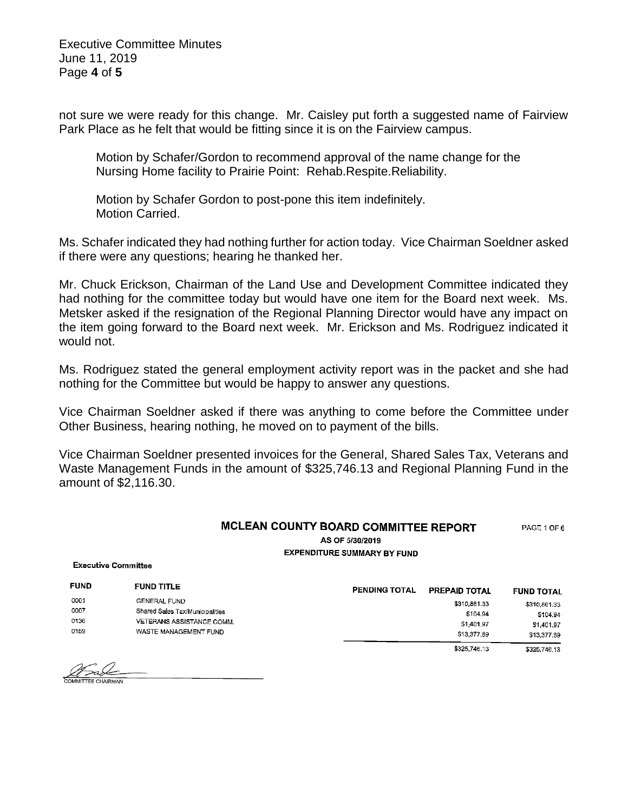Executive Committee Minutes June 11, 2019 Page **4** of **5**

not sure we were ready for this change. Mr. Caisley put forth a suggested name of Fairview Park Place as he felt that would be fitting since it is on the Fairview campus.

Motion by Schafer/Gordon to recommend approval of the name change for the Nursing Home facility to Prairie Point: Rehab.Respite.Reliability.

Motion by Schafer Gordon to post-pone this item indefinitely. Motion Carried.

Ms. Schafer indicated they had nothing further for action today. Vice Chairman Soeldner asked if there were any questions; hearing he thanked her.

Mr. Chuck Erickson, Chairman of the Land Use and Development Committee indicated they had nothing for the committee today but would have one item for the Board next week. Ms. Metsker asked if the resignation of the Regional Planning Director would have any impact on the item going forward to the Board next week. Mr. Erickson and Ms. Rodriguez indicated it would not.

Ms. Rodriguez stated the general employment activity report was in the packet and she had nothing for the Committee but would be happy to answer any questions.

Vice Chairman Soeldner asked if there was anything to come before the Committee under Other Business, hearing nothing, he moved on to payment of the bills.

Vice Chairman Soeldner presented invoices for the General, Shared Sales Tax, Veterans and Waste Management Funds in the amount of \$325,746.13 and Regional Planning Fund in the amount of \$2,116.30.

## MCLEAN COUNTY BOARD COMMITTEE REPORT PAGE 1 OF 6 AS OF 5/30/2019 **EXPENDITURE SUMMARY BY FUND**

**Executive Committee** 

| <b>FUND</b>                         | <b>FUND TITLE</b>               | <b>PENDING TOTAL</b> | PREPAID TOTAL | <b>FUND TOTAL</b> |
|-------------------------------------|---------------------------------|----------------------|---------------|-------------------|
| 0001<br><b>GENERAL FUND</b><br>0007 |                                 |                      | \$310,861.33  | \$310,861.33      |
|                                     | Shared Sales Tax/Municipalities |                      | \$104.94      | \$104.94          |
| 0136                                | VETERANS ASSISTANCE COMM.       |                      | \$1,401.97    | \$1,401.97        |
| 0159                                | WASTE MANAGEMENT FUND           |                      | \$13,377.89   | \$13,377.89       |
|                                     |                                 |                      | \$325,746,13  | \$325,746.13      |